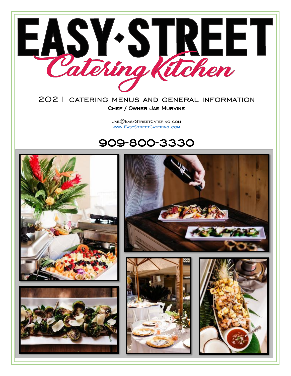

#### 2021 catering menus and general information Chef / Owner Jae Murvine

Jae@EasyStreetCatering.com [www.EasyStreetCatering.com](http://www.easystreetcatering.com/)

### 909-800-3330

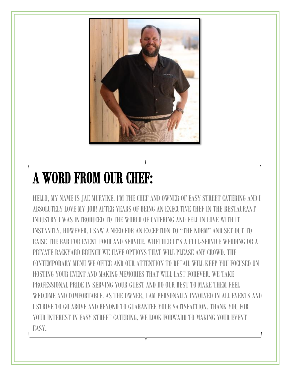

# A WORD FROM OUR CHEF:

HELLO, MY NAME IS JAE MURVINE. I'M THE CHEF AND OWNER OF EASY STREET CATERING AND I ABSOLUTELY LOVE MY JOB! AFTER YEARS OF BEING AN EXECUTIVE CHEF IN THE RESTAURANT INDUSTRY I WAS INTRODUCED TO THE WORLD OF CATERING AND FELL IN LOVE WITH IT INSTANTLY. HOWEVER, I SAW A NEED FOR AN EXCEPTION TO "THE NORM" AND SET OUT TO RAISE THE BAR FOR EVENT FOOD AND SERVICE. WHETHER IT'S A FULL-SERVICE WEDDING OR A PRIVATE BACKYARD BRUNCH WE HAVE OPTIONS THAT WILL PLEASE ANY CROWD. THE CONTEMPORARY MENU WE OFFER AND OUR ATTENTION TO DETAIL WILL KEEP YOU FOCUSED ON HOSTING YOUR EVENT AND MAKING MEMORIES THAT WILL LAST FOREVER. WE TAKE PROFESSIONAL PRIDE IN SERVING YOUR GHEST AND DO OUR BEST TO MAKE THEM FEEL WELCOME AND COMFORTABLE. AS THE OWNER, I AM PERSONALLY INVOLVED IN ALL EVENTS AND I STRIVE TO GO ABOVE AND BEYOND TO GUARANTEE YOUR SATISFACTION. THANK YOU FOR YOUR INTEREST IN EASY STREET CATERING, WE LOOK FORWARD TO MAKING YOUR EVENT EASY.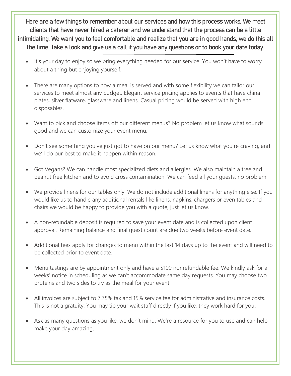Here are a few things to remember about our services and how this process works. We meet clients that have never hired a caterer and we understand that the process can be a little intimidating. We want you to feel comfortable and realize that you are in good hands, we do this all the time. Take a look and give us a call if you have any questions or to book your date today.

- It's your day to enjoy so we bring everything needed for our service. You won't have to worry about a thing but enjoying yourself.
- There are many options to how a meal is served and with some flexibility we can tailor our services to meet almost any budget. Elegant service pricing applies to events that have china plates, silver flatware, glassware and linens. Casual pricing would be served with high end disposables.
- Want to pick and choose items off our different menus? No problem let us know what sounds good and we can customize your event menu.
- Don't see something you've just got to have on our menu? Let us know what you're craving, and we'll do our best to make it happen within reason.
- Got Vegans? We can handle most specialized diets and allergies. We also maintain a tree and peanut free kitchen and to avoid cross contamination. We can feed all your guests, no problem.
- We provide linens for our tables only. We do not include additional linens for anything else. If you would like us to handle any additional rentals like linens, napkins, chargers or even tables and chairs we would be happy to provide you with a quote, just let us know.
- A non-refundable deposit is required to save your event date and is collected upon client approval. Remaining balance and final guest count are due two weeks before event date.
- Additional fees apply for changes to menu within the last 14 days up to the event and will need to be collected prior to event date.
- Menu tastings are by appointment only and have a \$100 nonrefundable fee. We kindly ask for a weeks' notice in scheduling as we can't accommodate same day requests. You may choose two proteins and two sides to try as the meal for your event.
- All invoices are subject to 7.75% tax and 15% service fee for administrative and insurance costs. This is not a gratuity. You may tip your wait staff directly if you like, they work hard for you!
- Ask as many questions as you like, we don't mind. We're a resource for you to use and can help make your day amazing.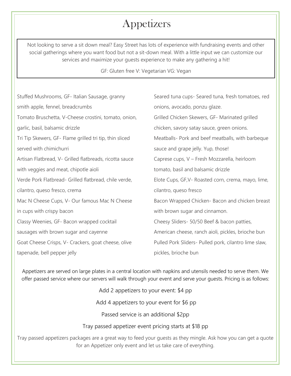# Appetizers

Not looking to serve a sit down meal? Easy Street has lots of experience with fundraising events and other social gatherings where you want food but not a sit-down meal. With a little input we can customize our services and maximize your guests experience to make any gathering a hit!

#### GF: Gluten free V: Vegetarian VG: Vegan

| Stuffed Mushrooms, GF- Italian Sausage, granny          | Seared tuna cups- Seared tuna, fresh tomatoes, red    |
|---------------------------------------------------------|-------------------------------------------------------|
| smith apple, fennel, breadcrumbs                        | onions, avocado, ponzu glaze.                         |
| Tomato Bruschetta, V-Cheese crostini, tomato, onion,    | Grilled Chicken Skewers, GF- Marinated grilled        |
| garlic, basil, balsamic drizzle                         | chicken, savory satay sauce, green onions.            |
| Tri Tip Skewers, GF- Flame grilled tri tip, thin sliced | Meatballs- Pork and beef meatballs, with barbeque     |
| served with chimichurri                                 | sauce and grape jelly. Yup, those!                    |
| Artisan Flatbread, V- Grilled flatbreads, ricotta sauce | Caprese cups, V - Fresh Mozzarella, heirloom          |
| with veggies and meat, chipotle aioli                   | tomato, basil and balsamic drizzle                    |
| Verde Pork Flatbread- Grilled flatbread, chile verde,   | Elote Cups, GF, V- Roasted corn, crema, mayo, lime,   |
| cilantro, queso fresco, crema                           | cilantro, queso fresco                                |
| Mac N Cheese Cups, V- Our famous Mac N Cheese           | Bacon Wrapped Chicken- Bacon and chicken breast       |
| in cups with crispy bacon                               | with brown sugar and cinnamon.                        |
| Classy Weenies, GF- Bacon wrapped cocktail              | Cheesy Sliders- 50/50 Beef & bacon patties,           |
| sausages with brown sugar and cayenne                   | American cheese, ranch aioli, pickles, brioche bun    |
| Goat Cheese Crisps, V- Crackers, goat cheese, olive     | Pulled Pork Sliders- Pulled pork, cilantro lime slaw, |
| tapenade, bell pepper jelly                             | pickles, brioche bun                                  |

Appetizers are served on large plates in a central location with napkins and utensils needed to serve them. We offer passed service where our servers will walk through your event and serve your guests. Pricing is as follows:

Add 2 appetizers to your event: \$4 pp

Add 4 appetizers to your event for \$6 pp

Passed service is an additional \$2pp

Tray passed appetizer event pricing starts at \$18 pp

Tray passed appetizers packages are a great way to feed your guests as they mingle. Ask how you can get a quote for an Appetizer only event and let us take care of everything.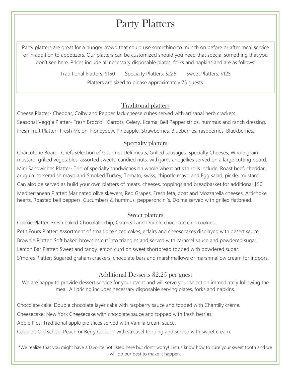# Party Platters

Party platters are great for a hungry crowd that could use something to munch on before or after meal service or in addition to appetizers. Our platters can be customized should you need that special something that you don't see here. Prices include all necessary disposable plates, forks and napkins and are as follows:

> Traditional Platters: \$150 Specialty Platters: \$225 Sweet Platters: \$125 Platters are sized to please approximately 75 guests.

#### Traditonal platters

Cheese Platter- Cheddar, Colby and Pepper Jack cheese cubes served with artisanal herb crackers. Seasonal Veggie Platter- Fresh Broccoli, Carrots, Celery, Jicama, Bell Pepper strips, hummus and ranch dressing. Fresh Fruit Platter- Fresh Melon, Honeydew, Pineapple, Strawberries, Blueberries, raspberries, Blackberries.

#### Specialty platters

Charcuterie Board- Chefs selection of Gourmet Deli meats, Grilled sausages, Specialty Cheeses, Whole grain mustard, grilled vegetables, assorted sweets, candied nuts, with jams and jellies served on a large cutting board. Mini Sandwiches Platter- Trio of specialty sandwiches on whole wheat artisan rolls include: Roast beef, cheddar, arugula horseradish mayo and Smoked Turkey, Tomato, swiss, chipotle mayo and Egg salad, pickle, mustard. Can also be served as build your own platters of meats, cheeses, toppings and breadbasket for additional \$50 Mediterranean Platter: Marinated olive skewers, Red Grapes, Fresh feta, goat and Mozzarella cheeses, Artichoke hearts, Roasted bell peppers, Cucumbers & hummus, pepperoncini's, Dolma served with grilled flatbread.

#### Sweet platters

Cookie Platter: Fresh baked Chocolate chip, Oatmeal and Double chocolate chip cookies. Petit Fours Platter: Assortment of small bite sized cakes, eclairs and cheesecakes displayed with desert sauce. Brownie Platter: Soft baked brownies cut into triangles and served with caramel sauce and powdered sugar. Lemon Bar Platter: Sweet and tangy lemon curd on sweet shortbread topped with powdered sugar. S'mores Platter: Sugared graham crackers, chocolate bars and marshmallows or marshmallow cream for indoors.

#### Additional Desserts \$2.25 per guest

We are happy to provide dessert service for your event and will serve your selection immediately following the meal. All pricing includes necessary disposable serving plates, forks and napkins.

Chocolate cake: Double chocolate layer cake with raspberry sauce and topped with Chantilly crème.

Cheesecake: New York Cheesecake with chocolate sauce and topped with fresh berries.

Apple Pies: Traditional apple pie slices served with Vanilla cream sauce.

Cobbler: Old school Peach or Berry Cobbler with streusel topping and served with sweet cream.

\*We realize that you might have a favorite not listed here but don't worry! Let us know how to cure your sweet tooth and we will do our best to make it happen.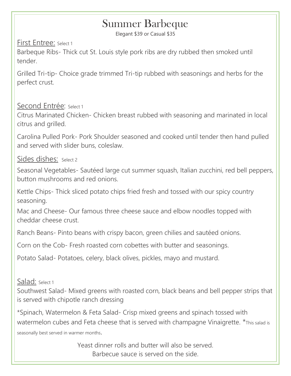# Summer Barbeque

Elegant \$39 or Casual \$35

First Entree: Select 1

Barbeque Ribs- Thick cut St. Louis style pork ribs are dry rubbed then smoked until tender.

Grilled Tri-tip- Choice grade trimmed Tri-tip rubbed with seasonings and herbs for the perfect crust.

### Second Entrée: Select 1

Citrus Marinated Chicken- Chicken breast rubbed with seasoning and marinated in local citrus and grilled.

Carolina Pulled Pork- Pork Shoulder seasoned and cooked until tender then hand pulled and served with slider buns, coleslaw.

### Sides dishes: Select 2

Seasonal Vegetables- Sautéed large cut summer squash, Italian zucchini, red bell peppers, button mushrooms and red onions.

Kettle Chips- Thick sliced potato chips fried fresh and tossed with our spicy country seasoning.

Mac and Cheese- Our famous three cheese sauce and elbow noodles topped with cheddar cheese crust.

Ranch Beans- Pinto beans with crispy bacon, green chilies and sautéed onions.

Corn on the Cob- Fresh roasted corn cobettes with butter and seasonings.

Potato Salad- Potatoes, celery, black olives, pickles, mayo and mustard.

Salad: Select 1

Southwest Salad- Mixed greens with roasted corn, black beans and bell pepper strips that is served with chipotle ranch dressing

\*Spinach, Watermelon & Feta Salad- Crisp mixed greens and spinach tossed with watermelon cubes and Feta cheese that is served with champagne Vinaigrette. \*This salad is seasonally best served in warmer months.

> Yeast dinner rolls and butter will also be served. Barbecue sauce is served on the side.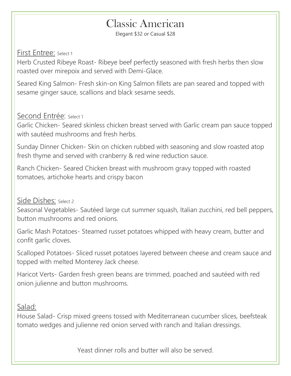### Classic American

Elegant \$32 or Casual \$28

#### First Entree: Select <sup>1</sup>

Herb Crusted Ribeye Roast- Ribeye beef perfectly seasoned with fresh herbs then slow roasted over mirepoix and served with Demi-Glace.

Seared King Salmon- Fresh skin-on King Salmon fillets are pan seared and topped with sesame ginger sauce, scallions and black sesame seeds.

### Second Entrée: Select 1

Garlic Chicken- Seared skinless chicken breast served with Garlic cream pan sauce topped with sautéed mushrooms and fresh herbs.

Sunday Dinner Chicken- Skin on chicken rubbed with seasoning and slow roasted atop fresh thyme and served with cranberry & red wine reduction sauce.

Ranch Chicken- Seared Chicken breast with mushroom gravy topped with roasted tomatoes, artichoke hearts and crispy bacon

### Side Dishes: Select 2

Seasonal Vegetables- Sautéed large cut summer squash, Italian zucchini, red bell peppers, button mushrooms and red onions.

Garlic Mash Potatoes- Steamed russet potatoes whipped with heavy cream, butter and confit garlic cloves.

Scalloped Potatoes- Sliced russet potatoes layered between cheese and cream sauce and topped with melted Monterey Jack cheese.

Haricot Verts- Garden fresh green beans are trimmed, poached and sautéed with red onion julienne and button mushrooms.

### Salad:

House Salad- Crisp mixed greens tossed with Mediterranean cucumber slices, beefsteak tomato wedges and julienne red onion served with ranch and Italian dressings.

Yeast dinner rolls and butter will also be served.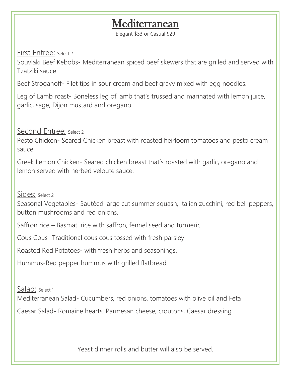# **Mediterranean**

Elegant \$33 or Casual \$29

### First Entree: Select 2

Souvlaki Beef Kebobs- Mediterranean spiced beef skewers that are grilled and served with Tzatziki sauce.

Beef Stroganoff- Filet tips in sour cream and beef gravy mixed with egg noodles.

Leg of Lamb roast- Boneless leg of lamb that's trussed and marinated with lemon juice, garlic, sage, Dijon mustard and oregano.

Second Entree: Select 2

Pesto Chicken- Seared Chicken breast with roasted heirloom tomatoes and pesto cream sauce

Greek Lemon Chicken- Seared chicken breast that's roasted with garlic, oregano and lemon served with herbed velouté sauce.

Sides: Select <sup>2</sup>

Seasonal Vegetables- Sautéed large cut summer squash, Italian zucchini, red bell peppers, button mushrooms and red onions.

Saffron rice – Basmati rice with saffron, fennel seed and turmeric.

Cous Cous- Traditional cous cous tossed with fresh parsley.

Roasted Red Potatoes- with fresh herbs and seasonings.

Hummus-Red pepper hummus with grilled flatbread.

Salad: Select 1

Mediterranean Salad- Cucumbers, red onions, tomatoes with olive oil and Feta

Caesar Salad- Romaine hearts, Parmesan cheese, croutons, Caesar dressing

Yeast dinner rolls and butter will also be served.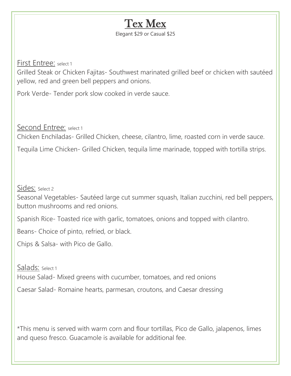

First Entree: select 1

Grilled Steak or Chicken Fajitas- Southwest marinated grilled beef or chicken with sautéed yellow, red and green bell peppers and onions.

Pork Verde- Tender pork slow cooked in verde sauce.

Second Entree: select 1

Chicken Enchiladas- Grilled Chicken, cheese, cilantro, lime, roasted corn in verde sauce.

Tequila Lime Chicken- Grilled Chicken, tequila lime marinade, topped with tortilla strips.

Sides: Select 2

Seasonal Vegetables- Sautéed large cut summer squash, Italian zucchini, red bell peppers, button mushrooms and red onions.

Spanish Rice- Toasted rice with garlic, tomatoes, onions and topped with cilantro.

Beans- Choice of pinto, refried, or black.

Chips & Salsa- with Pico de Gallo.

Salads: Select 1 House Salad- Mixed greens with cucumber, tomatoes, and red onions

Caesar Salad- Romaine hearts, parmesan, croutons, and Caesar dressing

\*This menu is served with warm corn and flour tortillas, Pico de Gallo, jalapenos, limes and queso fresco. Guacamole is available for additional fee.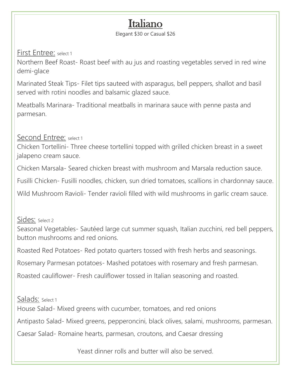## Italiano

Elegant \$30 or Casual \$26

First Entree: select 1

Northern Beef Roast- Roast beef with au jus and roasting vegetables served in red wine demi-glace

Marinated Steak Tips- Filet tips sauteed with asparagus, bell peppers, shallot and basil served with rotini noodles and balsamic glazed sauce.

Meatballs Marinara- Traditional meatballs in marinara sauce with penne pasta and parmesan.

Second Entree: select 1

Chicken Tortellini- Three cheese tortellini topped with grilled chicken breast in a sweet jalapeno cream sauce.

Chicken Marsala- Seared chicken breast with mushroom and Marsala reduction sauce.

Fusilli Chicken- Fusilli noodles, chicken, sun dried tomatoes, scallions in chardonnay sauce.

Wild Mushroom Ravioli- Tender ravioli filled with wild mushrooms in garlic cream sauce.

Sides: Select 2

Seasonal Vegetables- Sautéed large cut summer squash, Italian zucchini, red bell peppers, button mushrooms and red onions.

Roasted Red Potatoes- Red potato quarters tossed with fresh herbs and seasonings.

Rosemary Parmesan potatoes- Mashed potatoes with rosemary and fresh parmesan.

Roasted cauliflower- Fresh cauliflower tossed in Italian seasoning and roasted.

Salads: Select 1

House Salad- Mixed greens with cucumber, tomatoes, and red onions

Antipasto Salad- Mixed greens, pepperoncini, black olives, salami, mushrooms, parmesan.

Caesar Salad- Romaine hearts, parmesan, croutons, and Caesar dressing

Yeast dinner rolls and butter will also be served.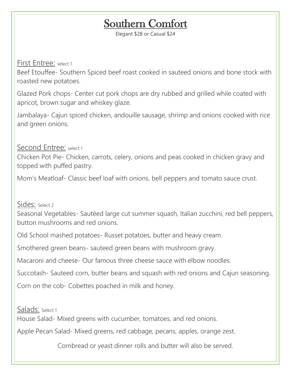# Southern Comfort

Elegant \$28 or Casual \$24

First Entree: select 1

Beef Etouffee- Southern Spiced beef roast cooked in sauteed onions and bone stock with roasted new potatoes.

Glazed Pork chops- Center cut pork chops are dry rubbed and grilled while coated with apricot, brown sugar and whiskey glaze.

Jambalaya- Cajun spiced chicken, andouille sausage, shrimp and onions cooked with rice and green onions.

Second Entree: select 1

Chicken Pot Pie- Chicken, carrots, celery, onions and peas cooked in chicken gravy and topped with puffed pastry.

Mom's Meatloaf- Classic beef loaf with onions, bell peppers and tomato sauce crust.

Sides: Select 2

Seasonal Vegetables- Sautéed large cut summer squash, Italian zucchini, red bell peppers, button mushrooms and red onions.

Old School mashed potatoes- Russet potatoes, butter and heavy cream.

Smothered green beans- sauteed green beans with mushroom gravy.

Macaroni and cheese- Our famous three cheese sauce with elbow noodles.

Succotash- Sauteed corn, butter beans and squash with red onions and Cajun seasoning.

Corn on the cob- Cobettes poached in milk and honey.

Salads: Select 1 House Salad- Mixed greens with cucumber, tomatoes, and red onions.

Apple Pecan Salad- Mixed greens, red cabbage, pecans, apples, orange zest.

Cornbread or yeast dinner rolls and butter will also be served.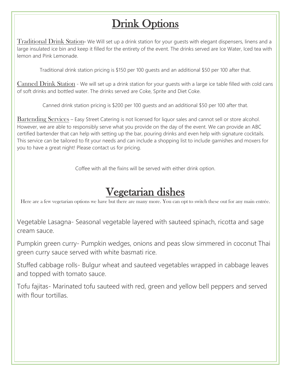# Drink Options

Traditional Drink Station- We Will set up a drink station for your guests with elegant dispensers, linens and a large insulated ice bin and keep it filled for the entirety of the event. The drinks served are Ice Water, Iced tea with lemon and Pink Lemonade.

Traditional drink station pricing is \$150 per 100 guests and an additional \$50 per 100 after that.

Canned Drink Station - We will set up a drink station for your guests with a large ice table filled with cold cans of soft drinks and bottled water. The drinks served are Coke, Sprite and Diet Coke.

Canned drink station pricing is \$200 per 100 guests and an additional \$50 per 100 after that.

Bartending Services – Easy Street Catering is not licensed for liquor sales and cannot sell or store alcohol. However, we are able to responsibly serve what you provide on the day of the event. We can provide an ABC certified bartender that can help with setting up the bar, pouring drinks and even help with signature cocktails. This service can be tailored to fit your needs and can include a shopping list to include garnishes and moxers for you to have a great night! Please contact us for pricing.

Coffee with all the fixins will be served with either drink option.

# Vegetarian dishes

Here are a few vegetarian options we have but there are many more. You can opt to switch these out for any main entrée.

Vegetable Lasagna- Seasonal vegetable layered with sauteed spinach, ricotta and sage cream sauce.

Pumpkin green curry- Pumpkin wedges, onions and peas slow simmered in coconut Thai green curry sauce served with white basmati rice.

Stuffed cabbage rolls- Bulgur wheat and sauteed vegetables wrapped in cabbage leaves and topped with tomato sauce.

Tofu fajitas- Marinated tofu sauteed with red, green and yellow bell peppers and served with flour tortillas.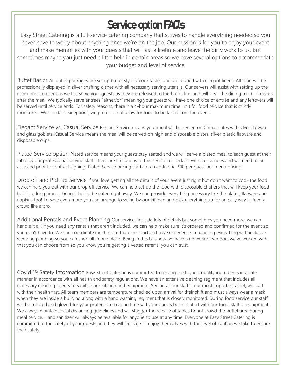# Service option FAQs

Easy Street Catering is a full-service catering company that strives to handle everything needed so you never have to worry about anything once we're on the job. Our mission is for you to enjoy your event and make memories with your guests that will last a lifetime and leave the dirty work to us. But sometimes maybe you just need a little help in certain areas so we have several options to accommodate your budget and level of service

Buffet Basics All buffet packages are set up buffet style on our tables and are draped with elegant linens. All food will be professionally displayed in silver chaffing dishes with all necessary serving utensils. Our servers will assist with setting up the room prior to event as well as serve your quests as they are released to the buffet line and will clear the dining room of dishes after the meal. We typically serve entrees "either/or" meaning your guests will have one choice of entrée and any leftovers will be served until service ends. For safety reasons, there is a 4-hour maximum time limit for food service that is strictly monitored. With certain exceptions, we prefer to not allow for food to be taken from the event.

Elegant Service vs, Casual Service Elegant Service means your meal will be served on China plates with silver flatware and glass goblets. Casual Service means the meal will be served on high end disposable plates, silver plastic flatware and disposable cups.

Plated Service option Plated service means your guests stay seated and we will serve a plated meal to each guest at their table by our professional serving staff. There are limitations to this service for certain events or venues and will need to be assessed prior to contract signing. Plated Service pricing starts at an additional \$10 per guest per menu pricing.

Drop off and Pick up Service If you love getting all the details of your event just right but don't want to cook the food we can help you out with our drop off service. We can help set up the food with disposable chaffers that will keep your food hot for a long time or bring it hot to be eaten right away. We can provide everything necessary like the plates, flatware and napkins too! To save even more you can arrange to swing by our kitchen and pick everything up for an easy way to feed a crowd like a pro.

Additional Rentals and Event Planning Our services include lots of details but sometimes you need more, we can handle it all! If you need any rentals that aren't included, we can help make sure it's ordered and confirmed for the event so you don't have to. We can coordinate much more than the food and have experience in handling everything with inclusive wedding planning so you can shop all in one place! Being in this business we have a network of vendors we've worked with that you can choose from so you know you're getting a vetted referral you can trust.

Covid 19 Safety Information Easy Street Catering is committed to serving the highest quality ingredients in a safe manner in accordance with all health and safety regulations. We have an extensive cleaning regiment that includes all necessary cleaning agents to sanitize our kitchen and equipment. Seeing as our staff is our most important asset, we start with their health first. All team members are temperature checked upon arrival for their shift and must always wear a mask when they are inside a building along with a hand washing regiment that is closely monitored. During food service our staff will be masked and gloved for your protection so at no time will your guests be in contact with our food, staff or equipment. We always maintain social distancing guidelines and will stagger the release of tables to not crowd the buffet area during meal service. Hand sanitizer will always be available for anyone to use at any time. Everyone at Easy Street Catering is committed to the safety of your guests and they will feel safe to enjoy themselves with the level of caution we take to ensure their safety.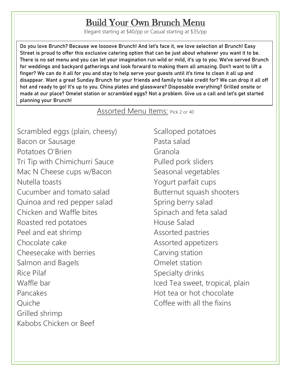### Build Your Own Brunch Menu

Elegant starting at \$40/pp or Casual starting at \$35/pp

Do you love Brunch? Because we loooove Brunch! And let's face it, we love selection at Brunch! Easy Street is proud to offer this exclusive catering option that can be just about whatever you want it to be. There is no set menu and you can let your imagination run wild or mild, it's up to you. We've served Brunch for weddings and backyard gatherings and look forward to making them all amazing. Don't want to lift a finger? We can do it all for you and stay to help serve your guests until it's time to clean it all up and disappear. Want a great Sunday Brunch for your friends and family to take credit for? We can drop it all off hot and ready to go! It's up to you. China plates and glassware? Disposable everything? Grilled onsite or made at our place? Omelet station or scrambled eggs? Not a problem. Give us a call and let's get started planning your Brunch!

### Assorted Menu Items: Pick 2 or 40

Scrambled eggs (plain, cheesy) Bacon or Sausage Potatoes O'Brien Tri Tip with Chimichurri Sauce Mac N Cheese cups w/Bacon Nutella toasts Cucumber and tomato salad Quinoa and red pepper salad Chicken and Waffle bites Roasted red potatoes Peel and eat shrimp Chocolate cake Cheesecake with berries Salmon and Bagels Rice Pilaf Waffle bar Pancakes Quiche Grilled shrimp Kabobs Chicken or Beef

Scalloped potatoes Pasta salad Granola Pulled pork sliders Seasonal vegetables Yogurt parfait cups Butternut squash shooters Spring berry salad Spinach and feta salad House Salad Assorted pastries Assorted appetizers Carving station Omelet station Specialty drinks Iced Tea sweet, tropical, plain Hot tea or hot chocolate Coffee with all the fixins